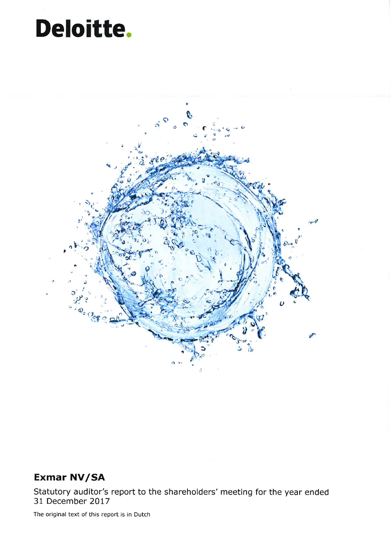# Deloitte.



# Exmar NV/SA

Statutory auditor's report to the shareholders' meeting for the year endec 31 December 2017

The original text of this report is in Dutch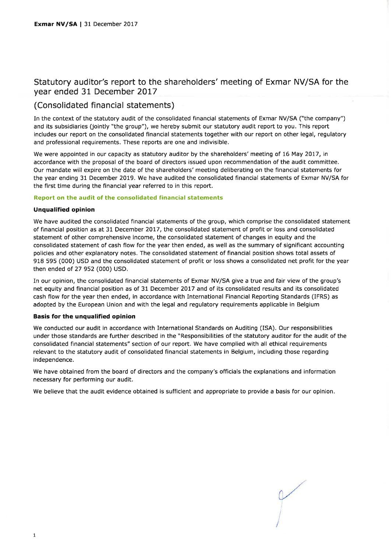## Statutory auditor's report to the shareholders' meeting of Exmar NV/SA for the year ended 31 December 2017

# (Consolidated financial statements)

In the context of the statutory audit of the consolidated financial statements of Exmar NV/SA ("the company") and its subsidiaries (jointly "the group"), we hereby submit our statutory audit report to you. This report includes our report on the consolidated financial statements together with our report on other legal, regulatory and professional requirements, These reports are one and indivisible.

We were appointed in our capacity as statutory auditor by the shareholders' meeting of 16 May 2017, in accordance with the proposal of the board of directors issued upon recommendation of the audit committee. Our mandate will expire on the date of the shareholders' meeting deliberating on the financial statements for the year ending 31 December 2019. We have audited the consolidated financial statements of Exmar NV/SA for the first time during the financial year referred to in this report.

### Report on the audit of the consolidated financial statements

### Unqualified opinion

We have audited the consolidated financial statements of the group, which comprise the consolidated statement of financial position as at 31 December 2017, the consolidated statement of profit or loss and consolidated statement of other comprehensive income, the consolidated statement of changes in equity and the consolidated statement of cash flow for the year then ended, as well as the summary of significant accounting policies and other explanatory notes. The consolidated statement of financial position shows total assets of 918 595 (000) USD and the consolidated statement of profit or loss shows a consolidated net profit for the year then ended of 27 952 (000) USD,

In our opinion, the consolidated financial statements of Exmar NV/SA give a true and fair view of the group's net equity and financial position as of 31 December 2017 and of its consolidated results and its consolidated cash flow for the year then ended, in accordance with International Financial Reporting Standards (IFRS) as adopted by the European Union and with the legal and regulatory requirements applicable in Belgium

#### Basis for the unqualified opinion

We conducted our audit in accordance with International Standards on Auditing (ISA). Our responsibilities under those standards are further described in the "Responsibilities of the statutory auditor for the audit of the consolidated financial statements" section of our report. We have complied with all ethical requirements relevant to the statutory audit of consolidated financial statements in Belgium, including those regarding independence.

We have obtained from the board of directors and the company's officials the explanations and information necessary for performing our audit,

We believe that the audit evidence obtained is sufficient and appropriate to provide a basis for our opinion.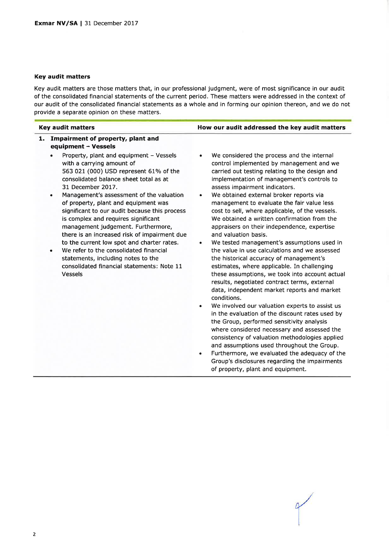#### Key audit matters

Key audit matters are those matters that, in our professional judgment, were of most significance in our audit of the consolidated financial statements of the current period. These matters were addressed in the context of our audit of the consolidated financial statements as a whole and in forming our opinion thereon, and we do not provide a separate opinion on these matters.

| <b>Key audit matters</b>                                                                                                                                                                                                                                                                                                      | How our audit addressed the key audit matters                                                                                                                                                                                                                                                                                                                                      |
|-------------------------------------------------------------------------------------------------------------------------------------------------------------------------------------------------------------------------------------------------------------------------------------------------------------------------------|------------------------------------------------------------------------------------------------------------------------------------------------------------------------------------------------------------------------------------------------------------------------------------------------------------------------------------------------------------------------------------|
| Impairment of property, plant and<br>1.<br>equipment - Vessels                                                                                                                                                                                                                                                                |                                                                                                                                                                                                                                                                                                                                                                                    |
| Property, plant and equipment - Vessels<br>٠<br>with a carrying amount of<br>563 021 (000) USD represent 61% of the<br>consolidated balance sheet total as at<br>31 December 2017.<br>Management's assessment of the valuation<br>٠<br>of property, plant and equipment was<br>cianificant to our audit because this presence | We considered the process and the internal<br>٠<br>control implemented by management and we<br>carried out testing relating to the design and<br>implementation of management's controls to<br>assess impairment indicators.<br>We obtained external broker reports via<br>$\bullet$<br>management to evaluate the fair value less<br>cost to coll whore applicable of the vessels |

- significant to our audit because this process is complex and requires significant management judgement. Furthermore, there is an increased risk of impairment due to the current low spot and charter rates.
- . We refer to the consolidated financial statements, including notes to the consolidated financial statements: Note 11 Vessels
- cost to sell, where applicable, of the vessels. We obtained a written confirmation from the appraisers on their independence, expertise and valuation basis.
- We tested management's assumptions used in the value in use calculations and we assessed the historical accuracy of management's estimates, where applicable. In challenging these assumptions, we took into account actual results, negotiated contract terms, external data, independent market reports and market conditions. a
- We involved our valuation experts to assist us in the evaluation of the discount rates used by the Group, performed sensitivity analysis where considered necessary and assessed the consistency of valuation methodologies applied and assumptions used throughout the Group. a
- Furthermore, we evaluated the adequacy of the Group's disclosures regarding the impairments of property, plant and equipment. a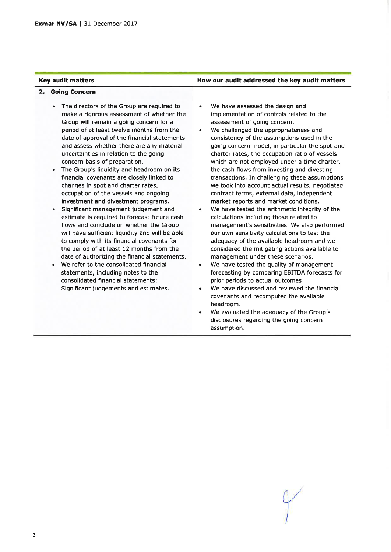#### 2. Going Concern

- . The directors of the Group are required to make a rigorous assessment of whether the Group will remain a going concern for a period of at least twelve months from the date of approval of the financial statements and assess whether there are any material uncertainties in relation to the going concern basis of preparation.
- The Group's liquidity and headroom on its financial covenants are closely linked to changes in spot and charter rates, occupation of the vessels and ongoing investment and divestment programs,
- . Significant management judgement and estimate is required to forecast future cash flows and conclude on whether the Group will have sufficient liquidity and will be able to comply with its financial covenants for the period of at least 12 months from the date of authorizing the financial statements.
- We refer to the consolidated financial statements, including notes to the consolidated financial statements : Significant judgements and estimates.
- Key audit matters **How our audit addressed the key audit matters** 
	- We have assessed the design and implementation of controls related to the assessment of going concern. a
	- We challenged the appropriateness and consistency of the assumptions used in the going concern model, in particular the spot and charter rates, the occupation ratio of vessels which are not employed under a time charter, the cash flows from investing and divesting transactions. In challenging these assumptions we took into account actual results, negotiated contract terms, external data, independent market reports and market conditions. o
	- We have tested the arithmetic integrity of the calculations including those related to management's sensitivities. We also performed our own sensitivity calculations to test the adequacy of the available headroom and we considered the mitigating actions available to management under these scenarios. a
	- We have tested the quality of management forecasting by comparing EBITDA forecasts for prior periods to actual outcomes a
	- We have discussed and reviewed the financial covenants and recomputed the available headroom. o
	- We evaluated the adequacy of the Group's disclosures regarding the going concern assumption, a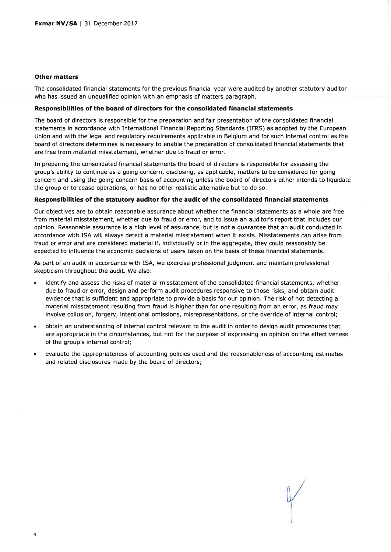### Other matters

The consolidated financial statements for the previous financial year were audited by another statutory auditor who has issued an unqualified opinion with an emphasis of matters paragraph.

#### Responsibilities of the board of directors for the consolidated financial statements

The board of directors is responsible for the preparation and fair presentation of the consolidated financial statements in accordance with International Financial Reporting Standards (IFRS) as adopted by the European Union and with the legal and regulatory requirements applicable in Belgium and for such internal control as the board of directors determines is necessary to enable the preparation of consolidated financial statements that are free from material misstatement, whether due to fraud or error,

In preparing the consolidated financial statements the board of directors is responsible for assessing the group's ability to continue as a going concern, disclosing, as applicable, matters to be considered for going concern and using the going concern basis of accounting unless the board of directors either intends to liquidate the group or to cease operations, or has no other realistic alternative but to do so.

#### Responsibilities of the statutory auditor for the audit of the consolidated financial statements

Our objectives are to obtain reasonable assurance about whether the financial statements as a whole are free from material misstatement, whether due to fraud or error, and to issue an auditor's report that includes our opinion. Reasonable assurance is a high level of assurance, but is not a guarantee that an audit conducted in accordance with ISA will always detect a material misstatement when it exists. Misstatements can arise from fraud or error and are considered material if, individually or in the aggregate, they could reasonably be expected to influence the economic decisions of users taken on the basis of these financial statements.

As part of an audit in accordance with ISA, we exercise professional judgment and maintain professional skepticism throughout the audit. We also:

- identify and assess the risks of material misstatement of the consolidated financial statements, whether due to fraud or error, design and perform audit procedures responsive to those risks, and obtain audit evidence that is sufficient and appropriate to provide a basis for our opinion. The risk of not detecting a material misstatement resulting from fraud is higher than for one resulting from an error, as fraud may involve collusion, forgery, intentional omissions, misrepresentations, or the override of internal control; a
- <sup>a</sup> obtain an understanding of internal control relevant to the audit in order to design audit procedures that are appropriate in the circumstances, but not for the purpose of expressing an opinion on the effectiveness of the group's internal control;
- evaluate the appropriateness of accounting policies used and the reasonableness of accounting estimates and related disclosures made by the board of directors; o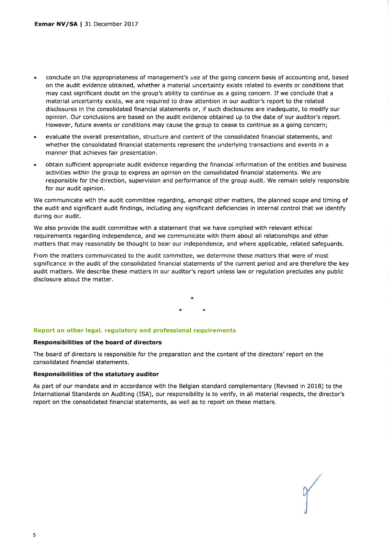- a conclude on the appropriateness of management's use of the going concern basis of accounting and, based on the audit evidence obtained, whether a material uncertainty exists related to events or conditions that may cast significant doubt on the group's ability to continue as a going concern. If we conclude that <sup>a</sup> material uncertainty exists, we are required to draw attention in our auditor's report to the related disclosures in the consolidated financial statements or, if such disclosures are inadequate, to modify our opinion, Our conclusions are based on the audit evidence obtained up to the date of our auditor's report. However, future events or conditions may cause the group to cease to continue as a going concern;
- evaluate the overall presentation, structure and content of the consolidated financial statements, and whether the consolidated financial statements represent the underlying transactions and events in a manner that achieves fair presentation, a
- obtain sufficient appropriate audit evidence regarding the financial information of the entities and business activities within the group to express an opinion on the consolidated financial statements. We are responsible for the direction, supervision and performance of the group audit. We remain solely responsible for our audit opinion. a

We communicate with the audit committee regarding, amongst other matters, the planned scope and timing of the audit and significant audit findings, including any significant deficiencies in internal control that we identify during our audit.

We also provide the audit committee with a statement that we have complied with relevant ethical requirements regarding independence, and we communicate with them about all relationships and other matters that may reasonably be thought to bear our independence, and where applicable, related safeguards.

From the matters communicated to the audit committee, we determine those matters that were of most significance in the audit of the consolidated financial statements of the current period and are therefore the key audit matters. We describe these matters in our auditor's report unless law or regulation precludes any public disclosure about the matter,

\*

#### Report on other legal, regulatory and professional requirements

#### Responsibilities of the board of directors

The board of directors is responsible for the preparation and the content of the directors' report on the consolidated financial statements.

#### Responsibilities of the statutory auditor

As part of our mandate and in accordance with the Belgian standard complementary (Revised in 2018) to the International Standards on Auditing (ISA), our responsibility is to verify, in all material respects, the director's report on the consolidated financial statements, as well as to report on these matters.